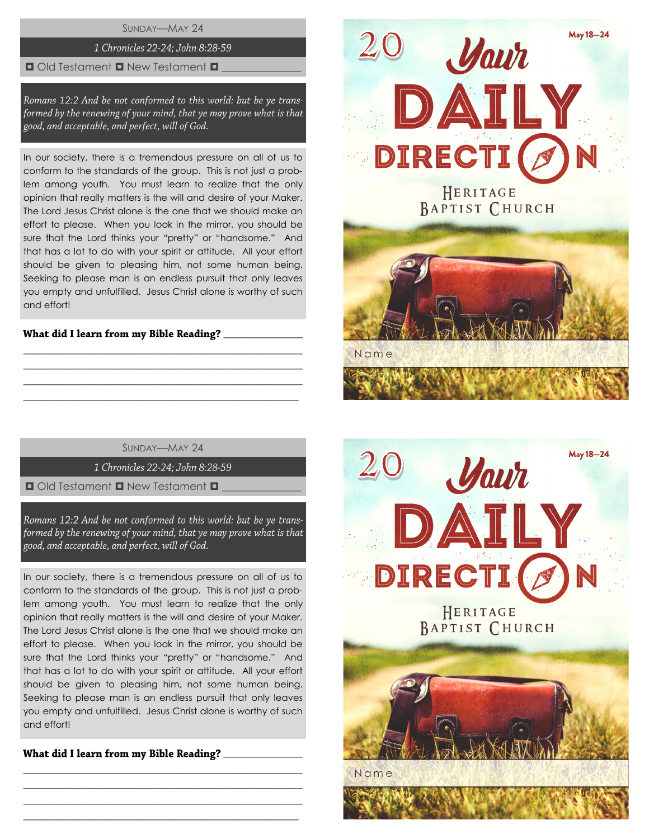SUNDAY—MAY 24

#### 1 Chronicles 22-24; John 8:28-59

#### $\Box$  Old Testament  $\Box$  New Testament  $\Box$

Romans 12:2 And be not conformed to this world: but be ye transformed by the renewing of your mind, that ye may prove what is that good, and acceptable, and perfect, will of God.

In our society, there is a tremendous pressure on all of us to conform to the standards of the group. This is not just a problem among youth. You must learn to realize that the only opinion that really matters is the will and desire of your Maker. The Lord Jesus Christ alone is the one that we should make an effort to please. When you look in the mirror, you should be sure that the Lord thinks your "pretty" or "handsome." And that has a lot to do with your spirit or attitude. All your effort should be given to pleasing him, not some human being. Seeking to please man is an endless pursuit that only leaves you empty and unfulfilled. Jesus Christ alone is worthy of such and effort!

## What did I learn from my Bible Reading? \_\_\_\_\_\_\_\_\_

SUNDAY—MAY 24

\_\_\_\_\_\_\_\_\_\_\_\_\_\_\_\_\_\_\_\_\_\_\_\_\_\_\_\_\_\_\_\_\_\_\_\_\_\_\_\_\_\_\_\_\_\_\_\_\_\_\_\_ \_\_\_\_\_\_\_\_\_\_\_\_\_\_\_\_\_\_\_\_\_\_\_\_\_\_\_\_\_\_\_\_\_\_\_\_\_\_\_\_\_\_\_\_\_\_\_\_\_\_\_\_ \_\_\_\_\_\_\_\_\_\_\_\_\_\_\_\_\_\_\_\_\_\_\_\_\_\_\_\_\_\_\_\_\_\_\_\_\_\_\_\_\_\_\_\_\_\_\_\_\_\_\_\_  $\_$  , and the set of the set of the set of the set of the set of the set of the set of the set of the set of the set of the set of the set of the set of the set of the set of the set of the set of the set of the set of th

1 Chronicles 22-24; John 8:28-59

 $\Box$  Old Testament  $\Box$  New Testament  $\Box$ 

Romans 12:2 And be not conformed to this world: but be ye transformed by the renewing of your mind, that ye may prove what is that good, and acceptable, and perfect, will of God.

In our society, there is a tremendous pressure on all of us to conform to the standards of the group. This is not just a problem among youth. You must learn to realize that the only opinion that really matters is the will and desire of your Maker. The Lord Jesus Christ alone is the one that we should make an effort to please. When you look in the mirror, you should be sure that the Lord thinks your "pretty" or "handsome." And that has a lot to do with your spirit or attitude. All your effort should be given to pleasing him, not some human being. Seeking to please man is an endless pursuit that only leaves you empty and unfulfilled. Jesus Christ alone is worthy of such and effort!

\_\_\_\_\_\_\_\_\_\_\_\_\_\_\_\_\_\_\_\_\_\_\_\_\_\_\_\_\_\_\_\_\_\_\_\_\_\_\_\_\_\_\_\_\_\_\_\_\_\_\_\_ \_\_\_\_\_\_\_\_\_\_\_\_\_\_\_\_\_\_\_\_\_\_\_\_\_\_\_\_\_\_\_\_\_\_\_\_\_\_\_\_\_\_\_\_\_\_\_\_\_\_\_\_ \_\_\_\_\_\_\_\_\_\_\_\_\_\_\_\_\_\_\_\_\_\_\_\_\_\_\_\_\_\_\_\_\_\_\_\_\_\_\_\_\_\_\_\_\_\_\_\_\_\_\_\_  $\_$  , and the set of the set of the set of the set of the set of the set of the set of the set of the set of the set of the set of the set of the set of the set of the set of the set of the set of the set of the set of th

What did I learn from my Bible Reading?



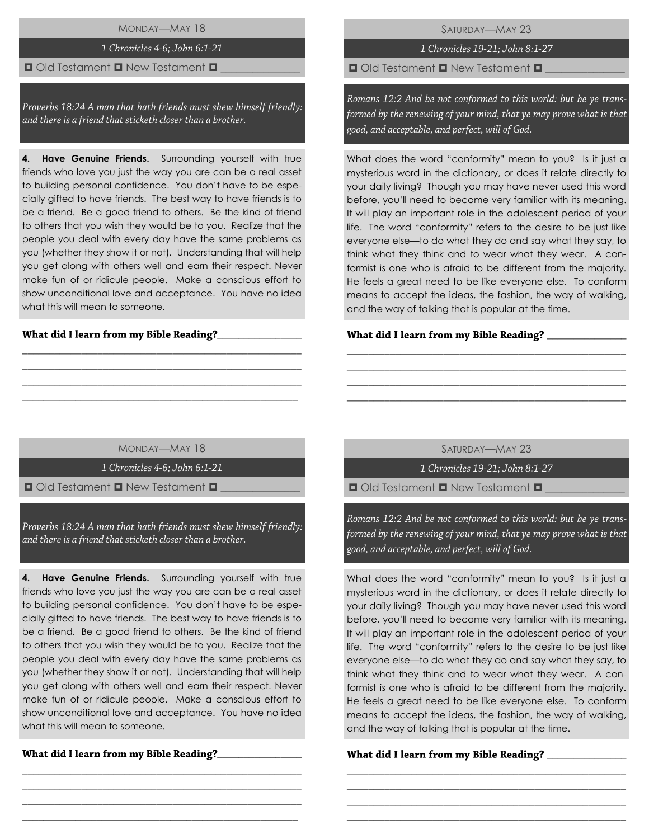MONDAY—MAY 18

## 1 Chronicles 4-6; John 6:1-21

#### $\Box$  Old Testament  $\Box$  New Testament  $\Box$

Proverbs 18:24 A man that hath friends must shew himself friendly: and there is a friend that sticketh closer than a brother.

**4. Have Genuine Friends.** Surrounding yourself with true friends who love you just the way you are can be a real asset to building personal confidence. You don't have to be especially gifted to have friends. The best way to have friends is to be a friend. Be a good friend to others. Be the kind of friend to others that you wish they would be to you. Realize that the people you deal with every day have the same problems as you (whether they show it or not). Understanding that will help you get along with others well and earn their respect. Never make fun of or ridicule people. Make a conscious effort to show unconditional love and acceptance. You have no idea what this will mean to someone.

#### $\frac{1}{2}$

SATURDAY—MAY 23

1 Chronicles 19-21; John 8:1-27

 $\Box$  Old Testament  $\Box$  New Testament  $\Box$ 

Romans 12:2 And be not conformed to this world: but be ye transformed by the renewing of your mind, that ye may prove what is that good, and acceptable, and perfect, will of God.

What does the word "conformity" mean to you? Is it just a mysterious word in the dictionary, or does it relate directly to your daily living? Though you may have never used this word before, you'll need to become very familiar with its meaning. It will play an important role in the adolescent period of your life. The word "conformity" refers to the desire to be just like everyone else—to do what they do and say what they say, to think what they think and to wear what they wear. A conformist is one who is afraid to be different from the majority. He feels a great need to be like everyone else. To conform means to accept the ideas, the fashion, the way of walking, and the way of talking that is popular at the time.

#### What did I learn from my Bible Reading? \_\_\_\_

MONDAY—MAY 18

\_\_\_\_\_\_\_\_\_\_\_\_\_\_\_\_\_\_\_\_\_\_\_\_\_\_\_\_\_\_\_\_\_\_\_\_\_\_\_\_\_\_\_\_\_\_\_\_\_\_\_\_ \_\_\_\_\_\_\_\_\_\_\_\_\_\_\_\_\_\_\_\_\_\_\_\_\_\_\_\_\_\_\_\_\_\_\_\_\_\_\_\_\_\_\_\_\_\_\_\_\_\_\_\_ \_\_\_\_\_\_\_\_\_\_\_\_\_\_\_\_\_\_\_\_\_\_\_\_\_\_\_\_\_\_\_\_\_\_\_\_\_\_\_\_\_\_\_\_\_\_\_\_\_\_\_\_ \_\_\_\_\_\_\_\_\_\_\_\_\_\_\_\_\_\_\_\_\_\_\_\_\_\_\_\_\_\_\_\_\_\_\_\_\_\_\_\_\_\_\_\_\_\_\_\_\_\_\_\_

1 Chronicles 4-6: John 6:1-21

 $\Box$  Old Testament  $\Box$  New Testament  $\Box$ 

Proverbs 18:24 A man that hath friends must shew himself friendly: and there is a friend that sticketh closer than a brother.

**4. Have Genuine Friends.** Surrounding yourself with true friends who love you just the way you are can be a real asset to building personal confidence. You don't have to be especially gifted to have friends. The best way to have friends is to be a friend. Be a good friend to others. Be the kind of friend to others that you wish they would be to you. Realize that the people you deal with every day have the same problems as you (whether they show it or not). Understanding that will help you get along with others well and earn their respect. Never make fun of or ridicule people. Make a conscious effort to show unconditional love and acceptance. You have no idea what this will mean to someone.

\_\_\_\_\_\_\_\_\_\_\_\_\_\_\_\_\_\_\_\_\_\_\_\_\_\_\_\_\_\_\_\_\_\_\_\_\_\_\_\_\_\_\_\_\_\_\_\_\_\_\_\_ \_\_\_\_\_\_\_\_\_\_\_\_\_\_\_\_\_\_\_\_\_\_\_\_\_\_\_\_\_\_\_\_\_\_\_\_\_\_\_\_\_\_\_\_\_\_\_\_\_\_\_\_ \_\_\_\_\_\_\_\_\_\_\_\_\_\_\_\_\_\_\_\_\_\_\_\_\_\_\_\_\_\_\_\_\_\_\_\_\_\_\_\_\_\_\_\_\_\_\_\_\_\_\_\_ \_\_\_\_\_\_\_\_\_\_\_\_\_\_\_\_\_\_\_\_\_\_\_\_\_\_\_\_\_\_\_\_\_\_\_\_\_\_\_\_\_\_\_\_\_\_\_\_\_\_\_\_

\_\_\_\_\_\_\_\_\_\_\_\_\_\_\_\_

SATURDAY—MAY 23

\_\_\_\_\_\_\_\_\_\_\_\_\_\_\_\_\_\_\_\_\_\_\_\_\_\_\_\_\_\_\_\_\_\_\_\_\_\_\_\_\_\_\_\_\_\_\_\_\_\_\_\_ \_\_\_\_\_\_\_\_\_\_\_\_\_\_\_\_\_\_\_\_\_\_\_\_\_\_\_\_\_\_\_\_\_\_\_\_\_\_\_\_\_\_\_\_\_\_\_\_\_\_\_\_ \_\_\_\_\_\_\_\_\_\_\_\_\_\_\_\_\_\_\_\_\_\_\_\_\_\_\_\_\_\_\_\_\_\_\_\_\_\_\_\_\_\_\_\_\_\_\_\_\_\_\_\_ \_\_\_\_\_\_\_\_\_\_\_\_\_\_\_\_\_\_\_\_\_\_\_\_\_\_\_\_\_\_\_\_\_\_\_\_\_\_\_\_\_\_\_\_\_\_\_\_\_\_\_\_

1 Chronicles 19-21; John 8:1-27

 $\Box$  Old Testament  $\Box$  New Testament  $\Box$ 

Romans 12:2 And be not conformed to this world: but be ye transformed by the renewing of your mind, that ye may prove what is that good, and acceptable, and perfect, will of God.

What does the word "conformity" mean to you? Is it just a mysterious word in the dictionary, or does it relate directly to your daily living? Though you may have never used this word before, you'll need to become very familiar with its meaning. It will play an important role in the adolescent period of your life. The word "conformity" refers to the desire to be just like everyone else—to do what they do and say what they say, to think what they think and to wear what they wear. A conformist is one who is afraid to be different from the majority. He feels a great need to be like everyone else. To conform means to accept the ideas, the fashion, the way of walking, and the way of talking that is popular at the time.

\_\_\_\_\_\_\_\_\_\_\_\_\_\_\_\_\_\_\_\_\_\_\_\_\_\_\_\_\_\_\_\_\_\_\_\_\_\_\_\_\_\_\_\_\_\_\_\_\_\_\_\_ \_\_\_\_\_\_\_\_\_\_\_\_\_\_\_\_\_\_\_\_\_\_\_\_\_\_\_\_\_\_\_\_\_\_\_\_\_\_\_\_\_\_\_\_\_\_\_\_\_\_\_\_ \_\_\_\_\_\_\_\_\_\_\_\_\_\_\_\_\_\_\_\_\_\_\_\_\_\_\_\_\_\_\_\_\_\_\_\_\_\_\_\_\_\_\_\_\_\_\_\_\_\_\_\_ \_\_\_\_\_\_\_\_\_\_\_\_\_\_\_\_\_\_\_\_\_\_\_\_\_\_\_\_\_\_\_\_\_\_\_\_\_\_\_\_\_\_\_\_\_\_\_\_\_\_\_\_

## What did I learn from my Bible Reading? \_\_\_\_\_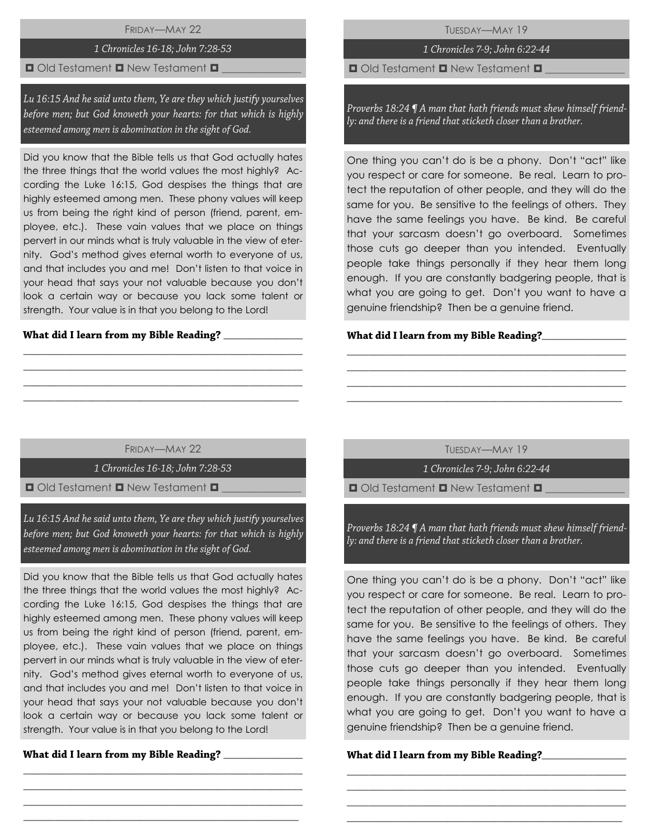FRIDAY—MAY 22

# 1 Chronicles 16-18; John 7:28-53

## $\blacksquare$  Old Testament  $\blacksquare$  New Testament  $\blacksquare$

Lu 16:15 And he said unto them, Ye are they which justify yourselves before men; but God knoweth your hearts: for that which is highly esteemed among men is abomination in the sight of God.

Did you know that the Bible tells us that God actually hates the three things that the world values the most highly? According the Luke 16:15, God despises the things that are highly esteemed among men. These phony values will keep us from being the right kind of person (friend, parent, employee, etc.). These vain values that we place on things pervert in our minds what is truly valuable in the view of eternity. God's method gives eternal worth to everyone of us, and that includes you and me! Don't listen to that voice in your head that says your not valuable because you don't look a certain way or because you lack some talent or strength. Your value is in that you belong to the Lord!

#### $\overline{\phantom{a}}$  ,  $\overline{\phantom{a}}$  ,  $\overline{\phantom{a}}$  ,  $\overline{\phantom{a}}$  ,  $\overline{\phantom{a}}$  ,  $\overline{\phantom{a}}$  ,  $\overline{\phantom{a}}$  ,  $\overline{\phantom{a}}$  ,  $\overline{\phantom{a}}$  ,  $\overline{\phantom{a}}$  ,  $\overline{\phantom{a}}$  ,  $\overline{\phantom{a}}$  ,  $\overline{\phantom{a}}$  ,  $\overline{\phantom{a}}$  ,  $\overline{\phantom{a}}$  ,  $\overline{\phantom{a}}$

TUESDAY—MAY 19

# 1 Chronicles 7-9; John 6:22-44

 $\Box$  Old Testament  $\Box$  New Testament  $\Box$ 

Proverbs 18:24 ¶ A man that hath friends must shew himself friendly: and there is a friend that sticketh closer than a brother.

One thing you can't do is be a phony. Don't "act" like you respect or care for someone. Be real. Learn to protect the reputation of other people, and they will do the same for you. Be sensitive to the feelings of others. They have the same feelings you have. Be kind. Be careful that your sarcasm doesn't go overboard. Sometimes those cuts go deeper than you intended. Eventually people take things personally if they hear them long enough. If you are constantly badgering people, that is what you are going to get. Don't you want to have a genuine friendship? Then be a genuine friend.

## **\_**\_\_\_\_\_\_\_\_\_\_\_\_\_\_\_

# FRIDAY—MAY 22

\_\_\_\_\_\_\_\_\_\_\_\_\_\_\_\_\_\_\_\_\_\_\_\_\_\_\_\_\_\_\_\_\_\_\_\_\_\_\_\_\_\_\_\_\_\_\_\_\_\_\_\_ \_\_\_\_\_\_\_\_\_\_\_\_\_\_\_\_\_\_\_\_\_\_\_\_\_\_\_\_\_\_\_\_\_\_\_\_\_\_\_\_\_\_\_\_\_\_\_\_\_\_\_\_ \_\_\_\_\_\_\_\_\_\_\_\_\_\_\_\_\_\_\_\_\_\_\_\_\_\_\_\_\_\_\_\_\_\_\_\_\_\_\_\_\_\_\_\_\_\_\_\_\_\_\_\_  $\_$  , and the set of the set of the set of the set of the set of the set of the set of the set of the set of the set of the set of the set of the set of the set of the set of the set of the set of the set of the set of th

1 Chronicles 16-18; John 7:28-53

 $\Box$  Old Testament  $\Box$  New Testament  $\Box$ 

Lu 16:15 And he said unto them, Ye are they which justify yourselves before men; but God knoweth your hearts: for that which is highly esteemed among men is abomination in the sight of God.

Did you know that the Bible tells us that God actually hates the three things that the world values the most highly? According the Luke 16:15, God despises the things that are highly esteemed among men. These phony values will keep us from being the right kind of person (friend, parent, employee, etc.). These vain values that we place on things pervert in our minds what is truly valuable in the view of eternity. God's method gives eternal worth to everyone of us, and that includes you and me! Don't listen to that voice in your head that says your not valuable because you don't look a certain way or because you lack some talent or strength. Your value is in that you belong to the Lord!

\_\_\_\_\_\_\_\_\_\_\_\_\_\_\_\_\_\_\_\_\_\_\_\_\_\_\_\_\_\_\_\_\_\_\_\_\_\_\_\_\_\_\_\_\_\_\_\_\_\_\_\_ \_\_\_\_\_\_\_\_\_\_\_\_\_\_\_\_\_\_\_\_\_\_\_\_\_\_\_\_\_\_\_\_\_\_\_\_\_\_\_\_\_\_\_\_\_\_\_\_\_\_\_\_ \_\_\_\_\_\_\_\_\_\_\_\_\_\_\_\_\_\_\_\_\_\_\_\_\_\_\_\_\_\_\_\_\_\_\_\_\_\_\_\_\_\_\_\_\_\_\_\_\_\_\_\_  $\_$  , and the set of the set of the set of the set of the set of the set of the set of the set of the set of the set of the set of the set of the set of the set of the set of the set of the set of the set of the set of th

\_\_\_\_\_\_\_\_\_\_\_\_\_\_\_

TUESDAY—MAY 19

\_\_\_\_\_\_\_\_\_\_\_\_\_\_\_\_\_\_\_\_\_\_\_\_\_\_\_\_\_\_\_\_\_\_\_\_\_\_\_\_\_\_\_\_\_\_\_\_\_\_\_\_ \_\_\_\_\_\_\_\_\_\_\_\_\_\_\_\_\_\_\_\_\_\_\_\_\_\_\_\_\_\_\_\_\_\_\_\_\_\_\_\_\_\_\_\_\_\_\_\_\_\_\_\_ \_\_\_\_\_\_\_\_\_\_\_\_\_\_\_\_\_\_\_\_\_\_\_\_\_\_\_\_\_\_\_\_\_\_\_\_\_\_\_\_\_\_\_\_\_\_\_\_\_\_\_\_ \_\_\_\_\_\_\_\_\_\_\_\_\_\_\_\_\_\_\_\_\_\_\_\_\_\_\_\_\_\_\_\_\_\_\_\_\_\_\_\_\_\_\_\_\_\_\_\_\_\_\_\_

1 Chronicles 7-9; John 6:22-44

 $\Box$  Old Testament  $\Box$  New Testament  $\Box$ 

Proverbs 18:24 ¶ A man that hath friends must shew himself friendly: and there is a friend that sticketh closer than a brother.

One thing you can't do is be a phony. Don't "act" like you respect or care for someone. Be real. Learn to protect the reputation of other people, and they will do the same for you. Be sensitive to the feelings of others. They have the same feelings you have. Be kind. Be careful that your sarcasm doesn't go overboard. Sometimes those cuts go deeper than you intended. Eventually people take things personally if they hear them long enough. If you are constantly badgering people, that is what you are going to get. Don't you want to have a genuine friendship? Then be a genuine friend.

\_\_\_\_\_\_\_\_\_\_\_\_\_\_\_\_\_\_\_\_\_\_\_\_\_\_\_\_\_\_\_\_\_\_\_\_\_\_\_\_\_\_\_\_\_\_\_\_\_\_\_\_ \_\_\_\_\_\_\_\_\_\_\_\_\_\_\_\_\_\_\_\_\_\_\_\_\_\_\_\_\_\_\_\_\_\_\_\_\_\_\_\_\_\_\_\_\_\_\_\_\_\_\_\_ \_\_\_\_\_\_\_\_\_\_\_\_\_\_\_\_\_\_\_\_\_\_\_\_\_\_\_\_\_\_\_\_\_\_\_\_\_\_\_\_\_\_\_\_\_\_\_\_\_\_\_\_ \_\_\_\_\_\_\_\_\_\_\_\_\_\_\_\_\_\_\_\_\_\_\_\_\_\_\_\_\_\_\_\_\_\_\_\_\_\_\_\_\_\_\_\_\_\_\_\_\_\_\_\_

#### What did I learn from my Bible Reading?\_\_\_\_